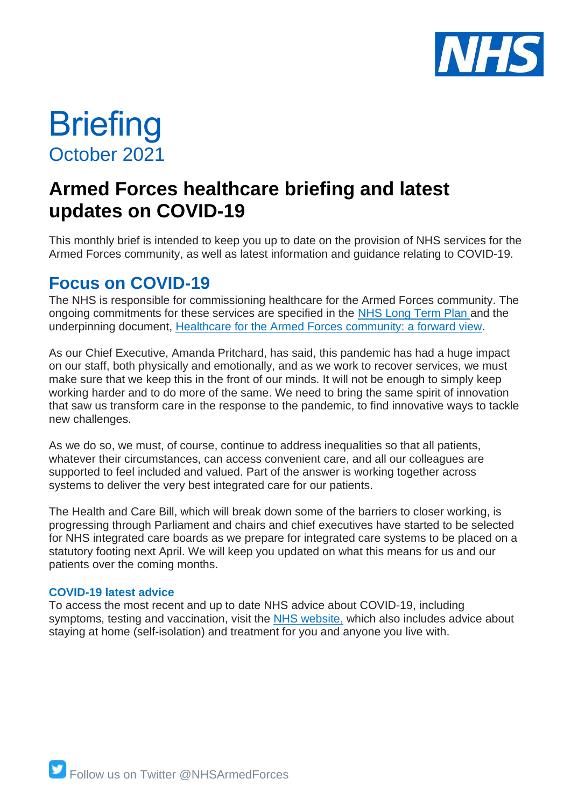

# **Briefing** October 2021

## **Armed Forces healthcare briefing and latest updates on COVID-19**

This monthly brief is intended to keep you up to date on the provision of NHS services for the Armed Forces community, as well as latest information and guidance relating to COVID-19.

### **Focus on COVID-19**

The NHS is responsible for commissioning healthcare for the Armed Forces community. The ongoing commitments for these services are specified in the [NHS Long Term Plan](https://www.longtermplan.nhs.uk/online-version/) and the underpinning document, [Healthcare for the Armed Forces](https://www.england.nhs.uk/publication/healthcare-for-the-armed-forces-community-a-forward-view/) community: a forward view.

As our Chief Executive, Amanda Pritchard, has said, this pandemic has had a huge impact on our staff, both physically and emotionally, and as we work to recover services, we must make sure that we keep this in the front of our minds. It will not be enough to simply keep working harder and to do more of the same. We need to bring the same spirit of innovation that saw us transform care in the response to the pandemic, to find innovative ways to tackle new challenges.

As we do so, we must, of course, continue to address inequalities so that all patients, whatever their circumstances, can access convenient care, and all our colleagues are supported to feel included and valued. Part of the answer is working together across systems to deliver the very best integrated care for our patients.

The Health and Care Bill, which will break down some of the barriers to closer working, is progressing through Parliament and chairs and chief executives have started to be selected for NHS integrated care boards as we prepare for integrated care systems to be placed on a statutory footing next April. We will keep you updated on what this means for us and our patients over the coming months.

#### **COVID-19 latest advice**

To access the most recent and up to date NHS advice about COVID-19, including symptoms, testing and vaccination, visit the [NHS website,](https://www.nhs.uk/conditions/coronavirus-covid-19/coronavirus-vaccination/coronavirus-vaccine/?gclid=EAIaIQobChMI-e3UusuB8wIVQ-7tCh3Ofg8mEAAYASAAEgIksPD_BwE) which also includes advice about staying at home (self-isolation) and treatment for you and anyone you live with.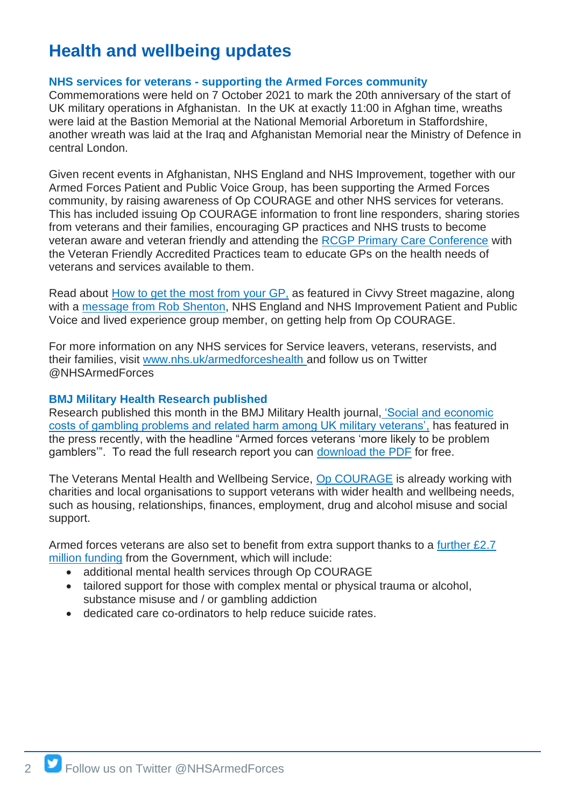### **Health and wellbeing updates**

#### **NHS services for veterans - supporting the Armed Forces community**

Commemorations were held on 7 October 2021 to mark the 20th anniversary of the start of UK military operations in Afghanistan. In the UK at exactly 11:00 in Afghan time, wreaths were laid at the Bastion Memorial at the National Memorial Arboretum in Staffordshire, another wreath was laid at the Iraq and Afghanistan Memorial near the Ministry of Defence in central London.

Given recent events in Afghanistan, NHS England and NHS Improvement, together with our Armed Forces Patient and Public Voice Group, has been supporting the Armed Forces community, by raising awareness of Op COURAGE and other NHS services for veterans. This has included issuing Op COURAGE information to front line responders, sharing stories from veterans and their families, encouraging GP practices and NHS trusts to become veteran aware and veteran friendly and attending the [RCGP Primary Care Conference](https://www.rcgpac.org.uk/) with the Veteran Friendly Accredited Practices team to educate GPs on the health needs of veterans and services available to them.

Read about [How to get the most](https://civvystreetmagazine.co.uk/2021/10/how-to-get-the-most-from-your-gp/) from your GP, as featured in Civvy Street magazine, along with a [message from Rob Shenton,](https://civvystreetmagazine.co.uk/2021/09/specialist-care-and-support-for-service-leavers-reservists-veterans-and-their-families-2/) NHS England and NHS Improvement Patient and Public Voice and lived experience group member, on getting help from Op COURAGE.

For more information on any NHS services for Service leavers, veterans, reservists, and their families, visit [www.nhs.uk/armedforceshealth](http://www.nhs.uk/armedforceshealth) and follow us on Twitter @NHSArmedForces

#### **BMJ Military Health Research published**

Research published this month in the BMJ Military Health journal, 'Social and economic [costs of gambling problems and related harm among UK military veterans',](https://militaryhealth.bmj.com/content/early/2021/09/29/bmjmilitary-2021-001892) has featured in the press recently, with the headline "Armed forces veterans 'more likely to be problem gamblers". To read the full research report you can [download the PDF](https://militaryhealth.bmj.com/content/jramc/early/2021/09/29/bmjmilitary-2021-001892.full.pdf) for free.

The Veterans Mental Health and Wellbeing Service, [Op COURAGE](http://www.nhs.uk/opcourage) is already working with charities and local organisations to support veterans with wider health and wellbeing needs, such as housing, relationships, finances, employment, drug and alcohol misuse and social support.

Armed forces veterans are also set to benefit from extra support thanks to a further £2.7 [million funding](https://www.gov.uk/government/news/veterans-mental-health-services-to-receive-27-million-boost) from the Government, which will include:

- additional mental health services through Op COURAGE
- tailored support for those with complex mental or physical trauma or alcohol, substance misuse and / or gambling addiction
- dedicated care co-ordinators to help reduce suicide rates.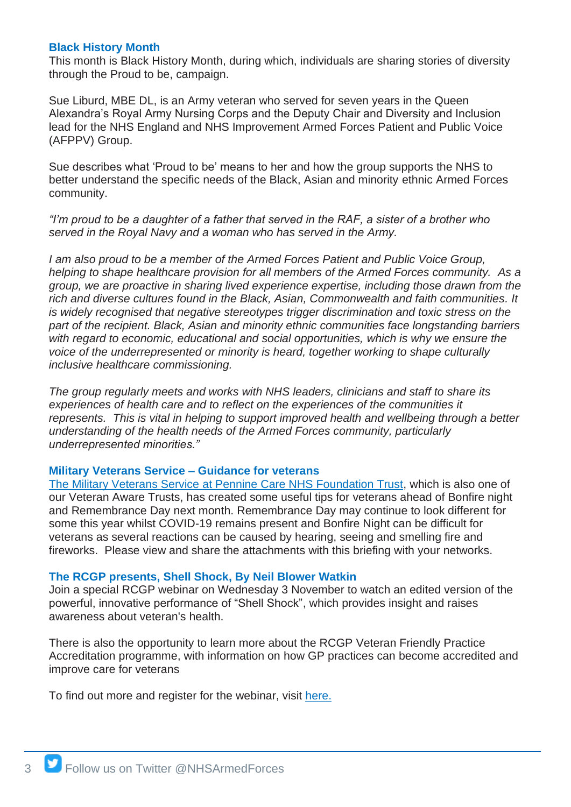#### **Black History Month**

This month is Black History Month, during which, individuals are sharing stories of diversity through the Proud to be, campaign.

Sue Liburd, MBE DL, is an Army veteran who served for seven years in the Queen Alexandra's Royal Army Nursing Corps and the Deputy Chair and Diversity and Inclusion lead for the NHS England and NHS Improvement Armed Forces Patient and Public Voice (AFPPV) Group.

Sue describes what 'Proud to be' means to her and how the group supports the NHS to better understand the specific needs of the Black, Asian and minority ethnic Armed Forces community.

*"I'm proud to be a daughter of a father that served in the RAF, a sister of a brother who served in the Royal Navy and a woman who has served in the Army.* 

*I am also proud to be a member of the Armed Forces Patient and Public Voice Group, helping to shape healthcare provision for all members of the Armed Forces community. As a group, we are proactive in sharing lived experience expertise, including those drawn from the rich and diverse cultures found in the Black, Asian, Commonwealth and faith communities. It is widely recognised that negative stereotypes trigger discrimination and toxic stress on the part of the recipient. Black, Asian and minority ethnic communities face longstanding barriers with regard to economic, educational and social opportunities, which is why we ensure the voice of the underrepresented or minority is heard, together working to shape culturally inclusive healthcare commissioning.*

*The group regularly meets and works with NHS leaders, clinicians and staff to share its experiences of health care and to reflect on the experiences of the communities it represents. This is vital in helping to support improved health and wellbeing through a better understanding of the health needs of the Armed Forces community, particularly underrepresented minorities."*

#### **Military Veterans Service – Guidance for veterans**

The Military [Veterans Service at Pennine Care NHS Foundation Trust,](http://www.penninecare.nhs.uk/military-veterans-service) which is also one of our Veteran Aware Trusts, has created some useful tips for veterans ahead of Bonfire night and Remembrance Day next month. Remembrance Day may continue to look different for some this year whilst COVID-19 remains present and Bonfire Night can be difficult for veterans as several reactions can be caused by hearing, seeing and smelling fire and fireworks. Please view and share the attachments with this briefing with your networks.

#### **The RCGP presents, Shell Shock, By Neil Blower Watkin**

Join a special RCGP webinar on Wednesday 3 November to watch an edited version of the powerful, innovative performance of "Shell Shock", which provides insight and raises awareness about veteran's health.

There is also the opportunity to learn more about the RCGP Veteran Friendly Practice Accreditation programme, with information on how GP practices can become accredited and improve care for veterans

To find out more and register for the webinar, visit [here.](https://rcgpportal.force.com/s/lt-event?id=a1U1i00000831jYEAQ&site=a0d1i00000aKQbhAAG)